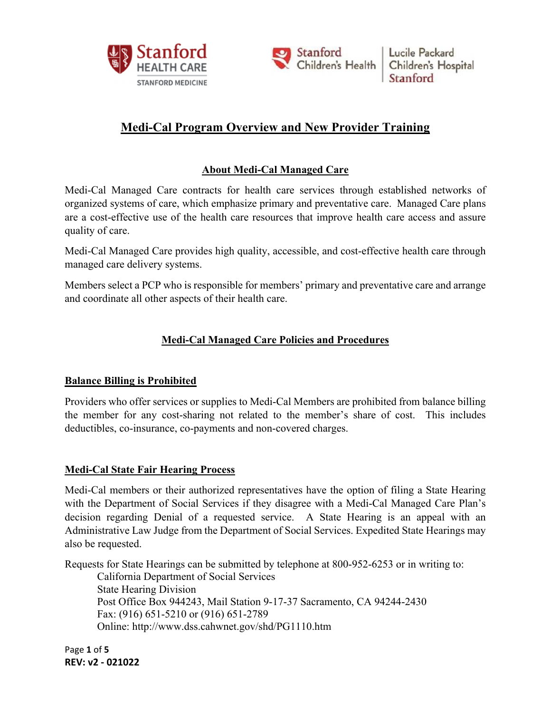



# **Medi-Cal Program Overview and New Provider Training**

## **About Medi-Cal Managed Care**

Medi-Cal Managed Care contracts for health care services through established networks of organized systems of care, which emphasize primary and preventative care. Managed Care plans are a cost-effective use of the health care resources that improve health care access and assure quality of care.

Medi-Cal Managed Care provides high quality, accessible, and cost-effective health care through managed care delivery systems.

Members select a PCP who is responsible for members' primary and preventative care and arrange and coordinate all other aspects of their health care.

## **Medi-Cal Managed Care Policies and Procedures**

## **Balance Billing is Prohibited**

Providers who offer services or supplies to Medi-Cal Members are prohibited from balance billing the member for any cost-sharing not related to the member's share of cost. This includes deductibles, co-insurance, co-payments and non-covered charges.

#### **Medi-Cal State Fair Hearing Process**

Medi-Cal members or their authorized representatives have the option of filing a State Hearing with the Department of Social Services if they disagree with a Medi-Cal Managed Care Plan's decision regarding Denial of a requested service. A State Hearing is an appeal with an Administrative Law Judge from the Department of Social Services. Expedited State Hearings may also be requested.

Requests for State Hearings can be submitted by telephone at 800-952-6253 or in writing to:

California Department of Social Services State Hearing Division Post Office Box 944243, Mail Station 9-17-37 Sacramento, CA 94244-2430 Fax: (916) 651-5210 or (916) 651-2789 Online: http://www.dss.cahwnet.gov/shd/PG1110.htm

Page **1** of **5 REV: v2 ‐ 021022**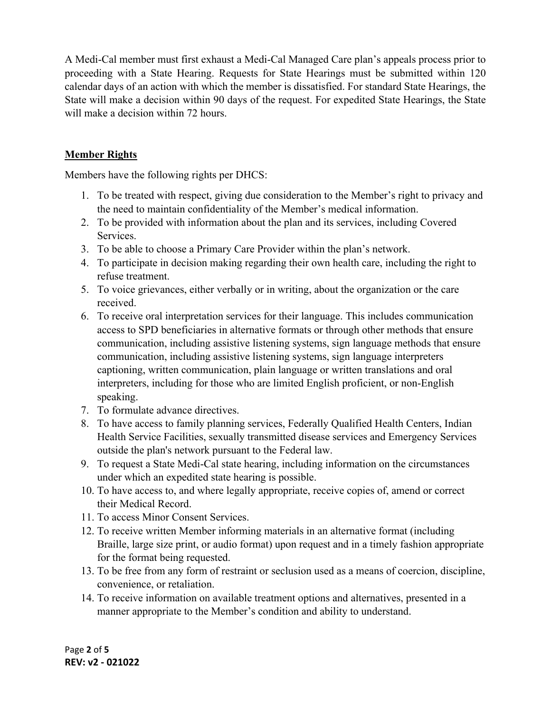A Medi-Cal member must first exhaust a Medi-Cal Managed Care plan's appeals process prior to proceeding with a State Hearing. Requests for State Hearings must be submitted within 120 calendar days of an action with which the member is dissatisfied. For standard State Hearings, the State will make a decision within 90 days of the request. For expedited State Hearings, the State will make a decision within 72 hours.

### **Member Rights**

Members have the following rights per DHCS:

- 1. To be treated with respect, giving due consideration to the Member's right to privacy and the need to maintain confidentiality of the Member's medical information.
- 2. To be provided with information about the plan and its services, including Covered Services.
- 3. To be able to choose a Primary Care Provider within the plan's network.
- 4. To participate in decision making regarding their own health care, including the right to refuse treatment.
- 5. To voice grievances, either verbally or in writing, about the organization or the care received.
- 6. To receive oral interpretation services for their language. This includes communication access to SPD beneficiaries in alternative formats or through other methods that ensure communication, including assistive listening systems, sign language methods that ensure communication, including assistive listening systems, sign language interpreters captioning, written communication, plain language or written translations and oral interpreters, including for those who are limited English proficient, or non-English speaking.
- 7. To formulate advance directives.
- 8. To have access to family planning services, Federally Qualified Health Centers, Indian Health Service Facilities, sexually transmitted disease services and Emergency Services outside the plan's network pursuant to the Federal law.
- 9. To request a State Medi-Cal state hearing, including information on the circumstances under which an expedited state hearing is possible.
- 10. To have access to, and where legally appropriate, receive copies of, amend or correct their Medical Record.
- 11. To access Minor Consent Services.
- 12. To receive written Member informing materials in an alternative format (including Braille, large size print, or audio format) upon request and in a timely fashion appropriate for the format being requested.
- 13. To be free from any form of restraint or seclusion used as a means of coercion, discipline, convenience, or retaliation.
- 14. To receive information on available treatment options and alternatives, presented in a manner appropriate to the Member's condition and ability to understand.

Page **2** of **5 REV: v2 ‐ 021022**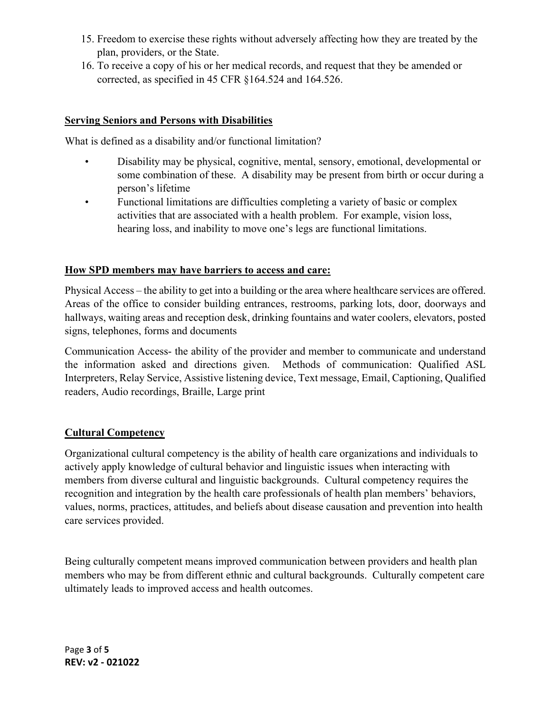- 15. Freedom to exercise these rights without adversely affecting how they are treated by the plan, providers, or the State.
- 16. To receive a copy of his or her medical records, and request that they be amended or corrected, as specified in 45 CFR §164.524 and 164.526.

### **Serving Seniors and Persons with Disabilities**

What is defined as a disability and/or functional limitation?

- Disability may be physical, cognitive, mental, sensory, emotional, developmental or some combination of these. A disability may be present from birth or occur during a person's lifetime
- Functional limitations are difficulties completing a variety of basic or complex activities that are associated with a health problem. For example, vision loss, hearing loss, and inability to move one's legs are functional limitations.

### **How SPD members may have barriers to access and care:**

Physical Access – the ability to get into a building or the area where healthcare services are offered. Areas of the office to consider building entrances, restrooms, parking lots, door, doorways and hallways, waiting areas and reception desk, drinking fountains and water coolers, elevators, posted signs, telephones, forms and documents

Communication Access- the ability of the provider and member to communicate and understand the information asked and directions given. Methods of communication: Qualified ASL Interpreters, Relay Service, Assistive listening device, Text message, Email, Captioning, Qualified readers, Audio recordings, Braille, Large print

#### **Cultural Competency**

Organizational cultural competency is the ability of health care organizations and individuals to actively apply knowledge of cultural behavior and linguistic issues when interacting with members from diverse cultural and linguistic backgrounds. Cultural competency requires the recognition and integration by the health care professionals of health plan members' behaviors, values, norms, practices, attitudes, and beliefs about disease causation and prevention into health care services provided.

Being culturally competent means improved communication between providers and health plan members who may be from different ethnic and cultural backgrounds. Culturally competent care ultimately leads to improved access and health outcomes.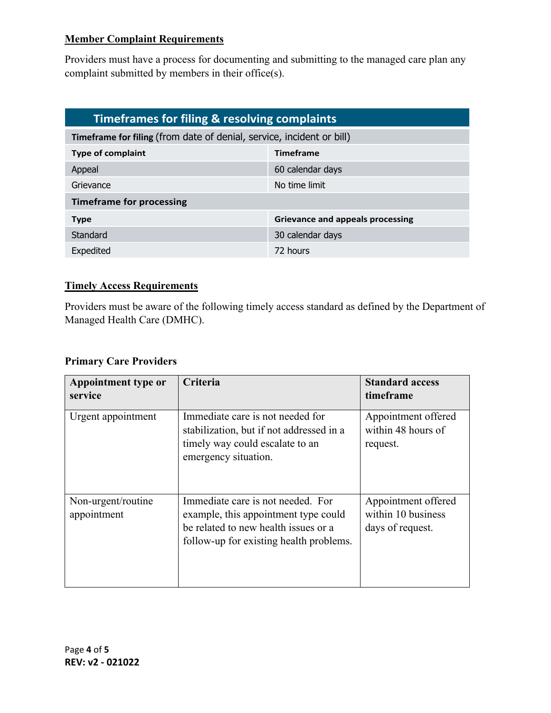### **Member Complaint Requirements**

Providers must have a process for documenting and submitting to the managed care plan any complaint submitted by members in their office(s).

| Timeframes for filing & resolving complaints                          |                                  |  |  |  |
|-----------------------------------------------------------------------|----------------------------------|--|--|--|
| Timeframe for filing (from date of denial, service, incident or bill) |                                  |  |  |  |
| <b>Type of complaint</b>                                              | <b>Timeframe</b>                 |  |  |  |
| Appeal                                                                | 60 calendar days                 |  |  |  |
| Grievance                                                             | No time limit                    |  |  |  |
| <b>Timeframe for processing</b>                                       |                                  |  |  |  |
| <b>Type</b>                                                           | Grievance and appeals processing |  |  |  |
| Standard                                                              | 30 calendar days                 |  |  |  |
| Expedited                                                             | 72 hours                         |  |  |  |

## **Timely Access Requirements**

Providers must be aware of the following timely access standard as defined by the Department of Managed Health Care (DMHC).

#### **Primary Care Providers**

| Appointment type or<br>service    | Criteria                                                                                                                                                     | <b>Standard access</b><br>timeframe                           |
|-----------------------------------|--------------------------------------------------------------------------------------------------------------------------------------------------------------|---------------------------------------------------------------|
| Urgent appointment                | Immediate care is not needed for<br>stabilization, but if not addressed in a<br>timely way could escalate to an<br>emergency situation.                      | Appointment offered<br>within 48 hours of<br>request.         |
| Non-urgent/routine<br>appointment | Immediate care is not needed. For<br>example, this appointment type could<br>be related to new health issues or a<br>follow-up for existing health problems. | Appointment offered<br>within 10 business<br>days of request. |